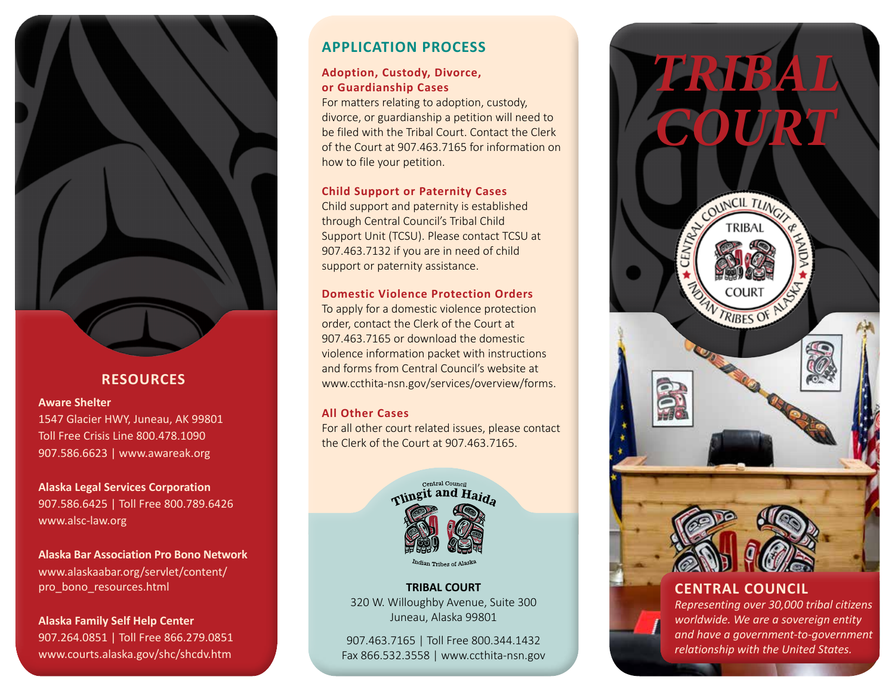

## **RESOURCES**

#### **Aware Shelter**

1547 Glacier HWY, Juneau, AK 99801 Toll Free Crisis Line 800.478.1090 907.586.6623 | www.awareak.org

**Alaska Legal Services Corporation** 907.586.6425 | Toll Free 800.789.6426 www.alsc-law.org

**Alaska Bar Association Pro Bono Network** www.alaskaabar.org/servlet/content/ pro\_bono\_resources.html

**Alaska Family Self Help Center** 907.264.0851 | Toll Free 866.279.0851 www.courts.alaska.gov/shc/shcdv.htm

## **APPLICATION PROCESS**

### **Adoption, Custody, Divorce, or Guardianship Cases**

For matters relating to adoption, custody, divorce, or guardianship a petition will need to be filed with the Tribal Court. Contact the Clerk of the Court at 907.463.7165 for information on how to file your petition.

### **Child Support or Paternity Cases**

Child support and paternity is established through Central Council's Tribal Child Support Unit (TCSU). Please contact TCSU at 907.463.7132 if you are in need of child support or paternity assistance.

### **Domestic Violence Protection Orders**

To apply for a domestic violence protection order, contact the Clerk of the Court at 907.463.7165 or download the domestic violence information packet with instructions and forms from Central Council's website at www.ccthita-nsn.gov/services/overview/forms.

### **All Other Cases**

For all other court related issues, please contact the Clerk of the Court at 907.463.7165.



**TRIBAL COURT** 320 W. Willoughby Avenue, Suite 300 Juneau, Alaska 99801

*relationship with the United States.* 907.463.7165 | Toll Free 800.344.1432 Fax 866.532.3558 | www.ccthita-nsn.gov



## **CENTRAL COUNCIL**

*Representing over 30,000 tribal citizens worldwide. We are a sovereign entity and have a government-to-government*